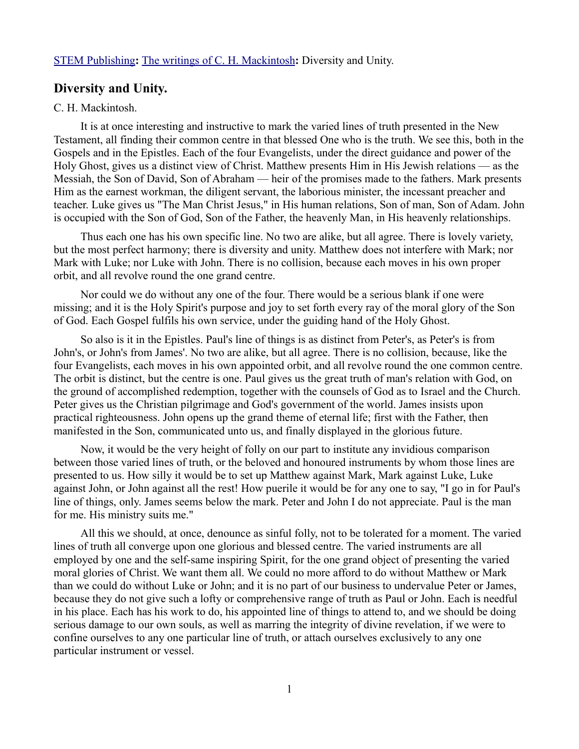## [STEM Publishing](http://www.stempublishing.com/)**:** [The writings of C. H. Mackintosh](http://www.stempublishing.com/authors/mackintosh/index.html)**:** Diversity and Unity.

## **Diversity and Unity.**

## C. H. Mackintosh.

It is at once interesting and instructive to mark the varied lines of truth presented in the New Testament, all finding their common centre in that blessed One who is the truth. We see this, both in the Gospels and in the Epistles. Each of the four Evangelists, under the direct guidance and power of the Holy Ghost, gives us a distinct view of Christ. Matthew presents Him in His Jewish relations — as the Messiah, the Son of David, Son of Abraham — heir of the promises made to the fathers. Mark presents Him as the earnest workman, the diligent servant, the laborious minister, the incessant preacher and teacher. Luke gives us "The Man Christ Jesus," in His human relations, Son of man, Son of Adam. John is occupied with the Son of God, Son of the Father, the heavenly Man, in His heavenly relationships.

Thus each one has his own specific line. No two are alike, but all agree. There is lovely variety, but the most perfect harmony; there is diversity and unity. Matthew does not interfere with Mark; nor Mark with Luke; nor Luke with John. There is no collision, because each moves in his own proper orbit, and all revolve round the one grand centre.

Nor could we do without any one of the four. There would be a serious blank if one were missing; and it is the Holy Spirit's purpose and joy to set forth every ray of the moral glory of the Son of God. Each Gospel fulfils his own service, under the guiding hand of the Holy Ghost.

So also is it in the Epistles. Paul's line of things is as distinct from Peter's, as Peter's is from John's, or John's from James'. No two are alike, but all agree. There is no collision, because, like the four Evangelists, each moves in his own appointed orbit, and all revolve round the one common centre. The orbit is distinct, but the centre is one. Paul gives us the great truth of man's relation with God, on the ground of accomplished redemption, together with the counsels of God as to Israel and the Church. Peter gives us the Christian pilgrimage and God's government of the world. James insists upon practical righteousness. John opens up the grand theme of eternal life; first with the Father, then manifested in the Son, communicated unto us, and finally displayed in the glorious future.

Now, it would be the very height of folly on our part to institute any invidious comparison between those varied lines of truth, or the beloved and honoured instruments by whom those lines are presented to us. How silly it would be to set up Matthew against Mark, Mark against Luke, Luke against John, or John against all the rest! How puerile it would be for any one to say, "I go in for Paul's line of things, only. James seems below the mark. Peter and John I do not appreciate. Paul is the man for me. His ministry suits me."

All this we should, at once, denounce as sinful folly, not to be tolerated for a moment. The varied lines of truth all converge upon one glorious and blessed centre. The varied instruments are all employed by one and the self-same inspiring Spirit, for the one grand object of presenting the varied moral glories of Christ. We want them all. We could no more afford to do without Matthew or Mark than we could do without Luke or John; and it is no part of our business to undervalue Peter or James, because they do not give such a lofty or comprehensive range of truth as Paul or John. Each is needful in his place. Each has his work to do, his appointed line of things to attend to, and we should be doing serious damage to our own souls, as well as marring the integrity of divine revelation, if we were to confine ourselves to any one particular line of truth, or attach ourselves exclusively to any one particular instrument or vessel.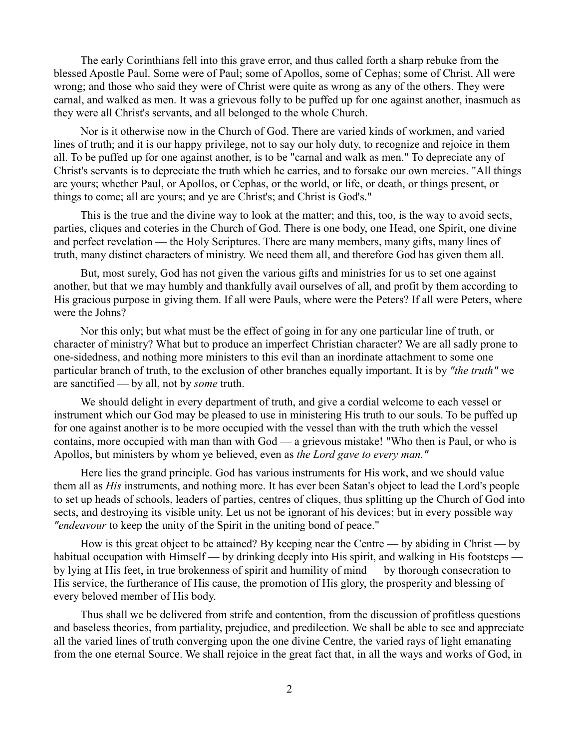The early Corinthians fell into this grave error, and thus called forth a sharp rebuke from the blessed Apostle Paul. Some were of Paul; some of Apollos, some of Cephas; some of Christ. All were wrong; and those who said they were of Christ were quite as wrong as any of the others. They were carnal, and walked as men. It was a grievous folly to be puffed up for one against another, inasmuch as they were all Christ's servants, and all belonged to the whole Church.

Nor is it otherwise now in the Church of God. There are varied kinds of workmen, and varied lines of truth; and it is our happy privilege, not to say our holy duty, to recognize and rejoice in them all. To be puffed up for one against another, is to be "carnal and walk as men." To depreciate any of Christ's servants is to depreciate the truth which he carries, and to forsake our own mercies. "All things are yours; whether Paul, or Apollos, or Cephas, or the world, or life, or death, or things present, or things to come; all are yours; and ye are Christ's; and Christ is God's."

This is the true and the divine way to look at the matter; and this, too, is the way to avoid sects, parties, cliques and coteries in the Church of God. There is one body, one Head, one Spirit, one divine and perfect revelation — the Holy Scriptures. There are many members, many gifts, many lines of truth, many distinct characters of ministry. We need them all, and therefore God has given them all.

But, most surely, God has not given the various gifts and ministries for us to set one against another, but that we may humbly and thankfully avail ourselves of all, and profit by them according to His gracious purpose in giving them. If all were Pauls, where were the Peters? If all were Peters, where were the Johns?

Nor this only; but what must be the effect of going in for any one particular line of truth, or character of ministry? What but to produce an imperfect Christian character? We are all sadly prone to one-sidedness, and nothing more ministers to this evil than an inordinate attachment to some one particular branch of truth, to the exclusion of other branches equally important. It is by *"the truth"* we are sanctified — by all, not by *some* truth.

We should delight in every department of truth, and give a cordial welcome to each vessel or instrument which our God may be pleased to use in ministering His truth to our souls. To be puffed up for one against another is to be more occupied with the vessel than with the truth which the vessel contains, more occupied with man than with God — a grievous mistake! "Who then is Paul, or who is Apollos, but ministers by whom ye believed, even as *the Lord gave to every man."*

Here lies the grand principle. God has various instruments for His work, and we should value them all as *His* instruments, and nothing more. It has ever been Satan's object to lead the Lord's people to set up heads of schools, leaders of parties, centres of cliques, thus splitting up the Church of God into sects, and destroying its visible unity. Let us not be ignorant of his devices; but in every possible way *"endeavour* to keep the unity of the Spirit in the uniting bond of peace."

How is this great object to be attained? By keeping near the Centre — by abiding in Christ — by habitual occupation with Himself — by drinking deeply into His spirit, and walking in His footsteps by lying at His feet, in true brokenness of spirit and humility of mind — by thorough consecration to His service, the furtherance of His cause, the promotion of His glory, the prosperity and blessing of every beloved member of His body.

Thus shall we be delivered from strife and contention, from the discussion of profitless questions and baseless theories, from partiality, prejudice, and predilection. We shall be able to see and appreciate all the varied lines of truth converging upon the one divine Centre, the varied rays of light emanating from the one eternal Source. We shall rejoice in the great fact that, in all the ways and works of God, in